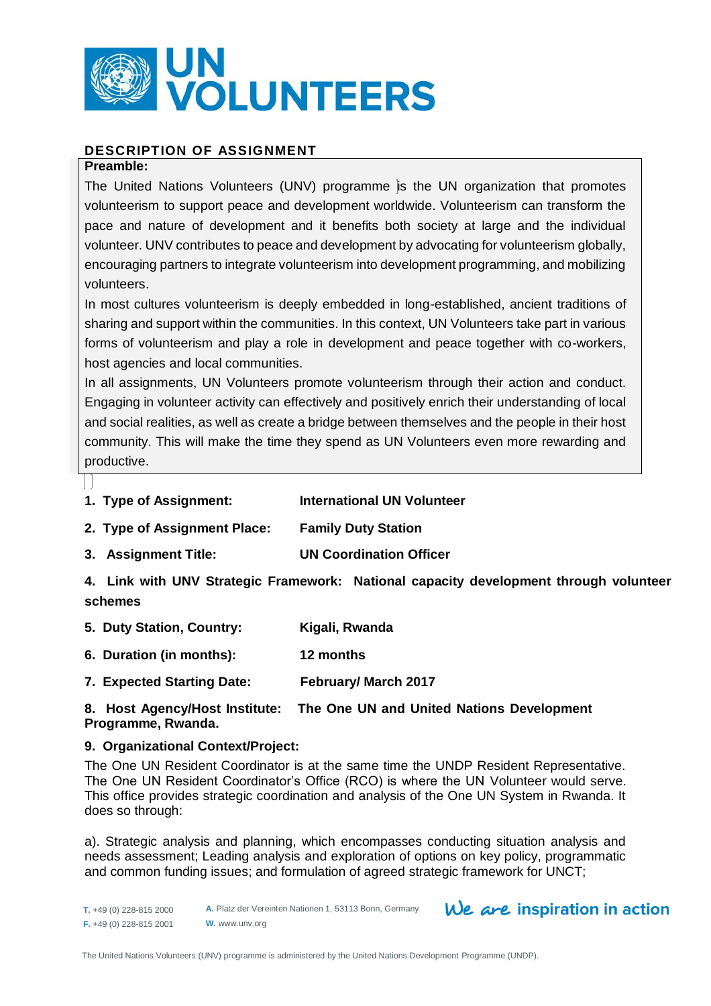

# **DESCRIPTION OF ASSIGNMENT**

## **Preamble:**

The United Nations Volunteers (UNV) programme is the UN organization that promotes volunteerism to support peace and development worldwide. Volunteerism can transform the pace and nature of development and it benefits both society at large and the individual volunteer. UNV contributes to peace and development by advocating for volunteerism globally, encouraging partners to integrate volunteerism into development programming, and mobilizing volunteers.

In most cultures volunteerism is deeply embedded in long-established, ancient traditions of sharing and support within the communities. In this context, UN Volunteers take part in various forms of volunteerism and play a role in development and peace together with co-workers, host agencies and local communities.

In all assignments, UN Volunteers promote volunteerism through their action and conduct. Engaging in volunteer activity can effectively and positively enrich their understanding of local and social realities, as well as create a bridge between themselves and the people in their host community. This will make the time they spend as UN Volunteers even more rewarding and productive.

- **1. Type of Assignment: International UN Volunteer**
- **2. Type of Assignment Place: Family Duty Station**
- **3. Assignment Title: UN Coordination Officer**

**4. Link with UNV Strategic Framework: National capacity development through volunteer schemes**

- **5. Duty Station, Country: Kigali, Rwanda**
- **6. Duration (in months): 12 months**
- **7. Expected Starting Date: February/ March 2017**

# **8. Host Agency/Host Institute: The One UN and United Nations Development Programme, Rwanda.**

# **9. Organizational Context/Project:**

The One UN Resident Coordinator is at the same time the UNDP Resident Representative. The One UN Resident Coordinator's Office (RCO) is where the UN Volunteer would serve. This office provides strategic coordination and analysis of the One UN System in Rwanda. It does so through:

a). Strategic analysis and planning, which encompasses conducting situation analysis and needs assessment; Leading analysis and exploration of options on key policy, programmatic and common funding issues; and formulation of agreed strategic framework for UNCT;

# We are inspiration in action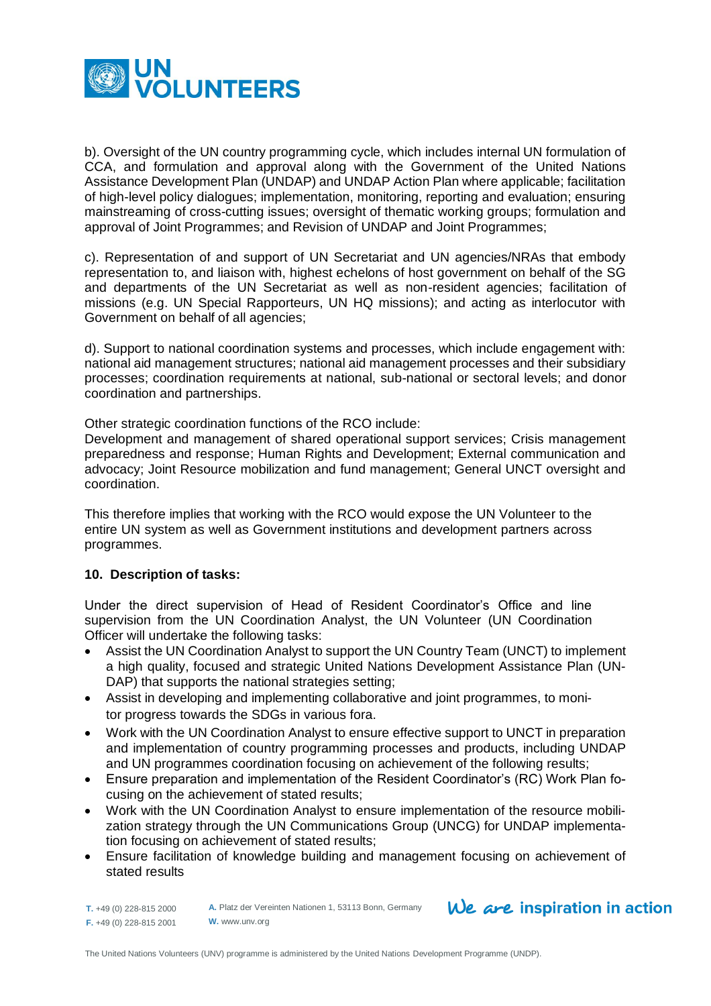

b). Oversight of the UN country programming cycle, which includes internal UN formulation of CCA, and formulation and approval along with the Government of the United Nations Assistance Development Plan (UNDAP) and UNDAP Action Plan where applicable; facilitation of high-level policy dialogues; implementation, monitoring, reporting and evaluation; ensuring mainstreaming of cross-cutting issues; oversight of thematic working groups; formulation and approval of Joint Programmes; and Revision of UNDAP and Joint Programmes;

c). Representation of and support of UN Secretariat and UN agencies/NRAs that embody representation to, and liaison with, highest echelons of host government on behalf of the SG and departments of the UN Secretariat as well as non-resident agencies; facilitation of missions (e.g. UN Special Rapporteurs, UN HQ missions); and acting as interlocutor with Government on behalf of all agencies;

d). Support to national coordination systems and processes, which include engagement with: national aid management structures; national aid management processes and their subsidiary processes; coordination requirements at national, sub-national or sectoral levels; and donor coordination and partnerships.

Other strategic coordination functions of the RCO include:

Development and management of shared operational support services; Crisis management preparedness and response; Human Rights and Development; External communication and advocacy; Joint Resource mobilization and fund management; General UNCT oversight and coordination.

This therefore implies that working with the RCO would expose the UN Volunteer to the entire UN system as well as Government institutions and development partners across programmes.

# **10. Description of tasks:**

Under the direct supervision of Head of Resident Coordinator's Office and line supervision from the UN Coordination Analyst, the UN Volunteer (UN Coordination Officer will undertake the following tasks:

- Assist the UN Coordination Analyst to support the UN Country Team (UNCT) to implement a high quality, focused and strategic United Nations Development Assistance Plan (UN-DAP) that supports the national strategies setting;
- Assist in developing and implementing collaborative and joint programmes, to monitor progress towards the SDGs in various fora.
- Work with the UN Coordination Analyst to ensure effective support to UNCT in preparation and implementation of country programming processes and products, including UNDAP and UN programmes coordination focusing on achievement of the following results;
- Ensure preparation and implementation of the Resident Coordinator's (RC) Work Plan focusing on the achievement of stated results;
- Work with the UN Coordination Analyst to ensure implementation of the resource mobilization strategy through the UN Communications Group (UNCG) for UNDAP implementation focusing on achievement of stated results;
- Ensure facilitation of knowledge building and management focusing on achievement of stated results

**T.** +49 (0) 228-815 2000 **F.** +49 (0) 228-815 2001

**A.** Platz der Vereinten Nationen 1, 53113 Bonn, Germany **W.** www.unv.org

# $We$  are inspiration in action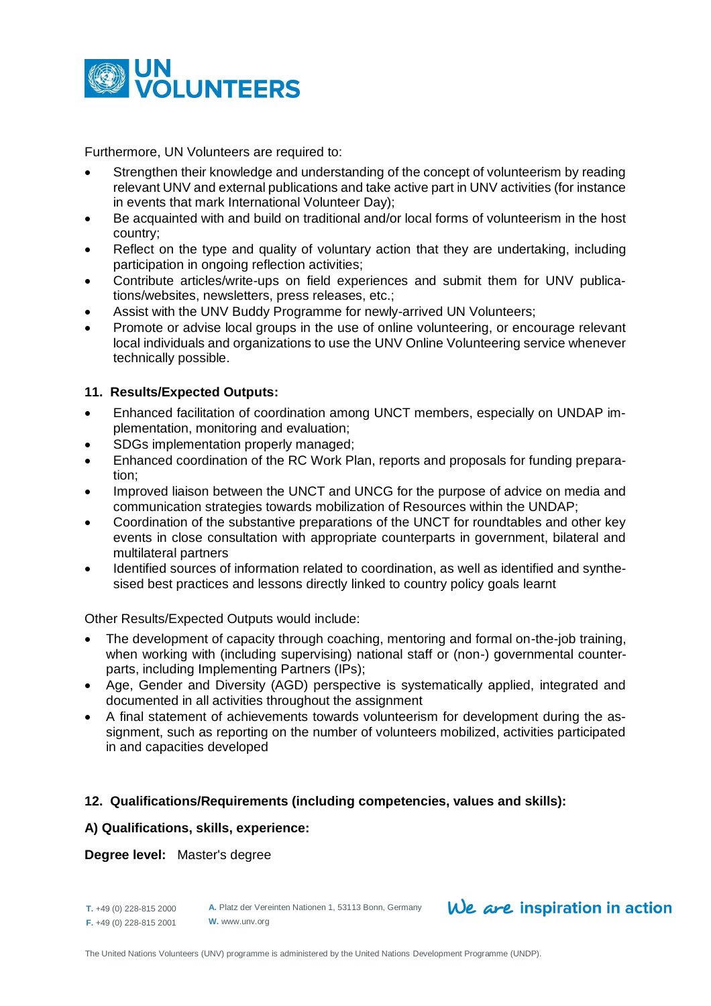

Furthermore, UN Volunteers are required to:

- Strengthen their knowledge and understanding of the concept of volunteerism by reading relevant UNV and external publications and take active part in UNV activities (for instance in events that mark International Volunteer Day);
- Be acquainted with and build on traditional and/or local forms of volunteerism in the host country;
- Reflect on the type and quality of voluntary action that they are undertaking, including participation in ongoing reflection activities;
- Contribute articles/write-ups on field experiences and submit them for UNV publications/websites, newsletters, press releases, etc.;
- Assist with the UNV Buddy Programme for newly-arrived UN Volunteers;
- Promote or advise local groups in the use of online volunteering, or encourage relevant local individuals and organizations to use the UNV Online Volunteering service whenever technically possible.

## **11. Results/Expected Outputs:**

- Enhanced facilitation of coordination among UNCT members, especially on UNDAP implementation, monitoring and evaluation;
- SDGs implementation properly managed;
- Enhanced coordination of the RC Work Plan, reports and proposals for funding preparation;
- Improved liaison between the UNCT and UNCG for the purpose of advice on media and communication strategies towards mobilization of Resources within the UNDAP;
- Coordination of the substantive preparations of the UNCT for roundtables and other key events in close consultation with appropriate counterparts in government, bilateral and multilateral partners
- Identified sources of information related to coordination, as well as identified and synthesised best practices and lessons directly linked to country policy goals learnt

Other Results/Expected Outputs would include:

- The development of capacity through coaching, mentoring and formal on-the-job training, when working with (including supervising) national staff or (non-) governmental counterparts, including Implementing Partners (IPs);
- Age, Gender and Diversity (AGD) perspective is systematically applied, integrated and documented in all activities throughout the assignment
- A final statement of achievements towards volunteerism for development during the assignment, such as reporting on the number of volunteers mobilized, activities participated in and capacities developed

#### **12. Qualifications/Requirements (including competencies, values and skills):**

#### **A) Qualifications, skills, experience:**

#### **Degree level:** Master's degree

**T.** +49 (0) 228-815 2000 **F.** +49 (0) 228-815 2001 **A.** Platz der Vereinten Nationen 1, 53113 Bonn, Germany **W.** www.unv.org

# $We$  are inspiration in action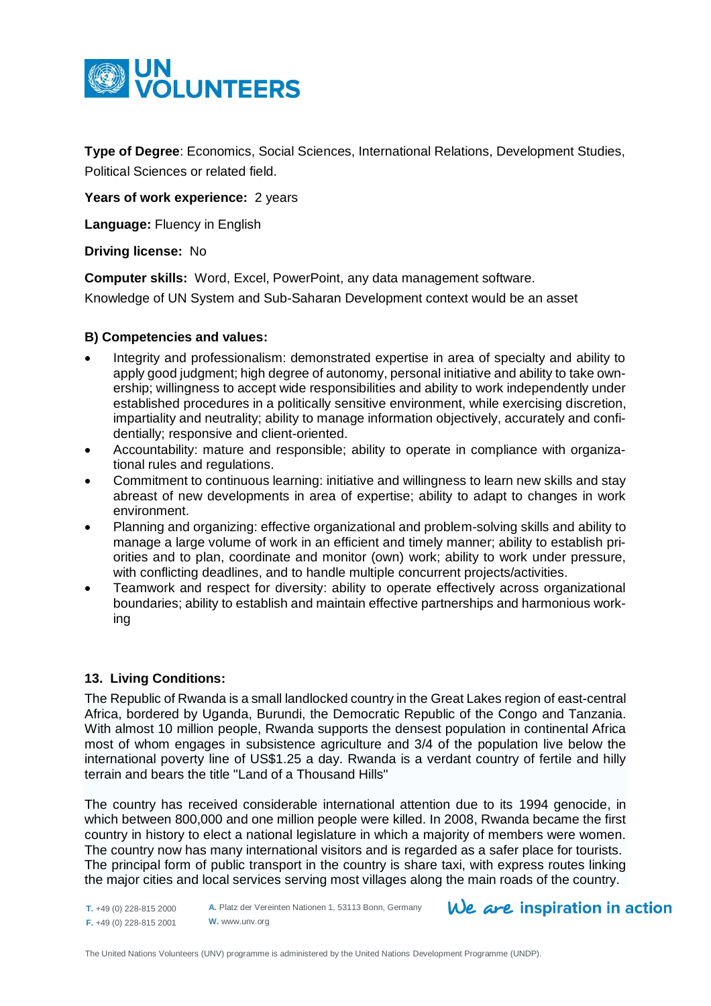

**Type of Degree**: Economics, Social Sciences, International Relations, Development Studies, Political Sciences or related field.

Years of work experience: 2 years

**Language:** Fluency in English

#### **Driving license:** No

**Computer skills:** Word, Excel, PowerPoint, any data management software.

Knowledge of UN System and Sub-Saharan Development context would be an asset

## **B) Competencies and values:**

- Integrity and professionalism: demonstrated expertise in area of specialty and ability to apply good judgment; high degree of autonomy, personal initiative and ability to take ownership; willingness to accept wide responsibilities and ability to work independently under established procedures in a politically sensitive environment, while exercising discretion, impartiality and neutrality; ability to manage information objectively, accurately and confidentially; responsive and client-oriented.
- Accountability: mature and responsible; ability to operate in compliance with organizational rules and regulations.
- Commitment to continuous learning: initiative and willingness to learn new skills and stay abreast of new developments in area of expertise; ability to adapt to changes in work environment.
- Planning and organizing: effective organizational and problem-solving skills and ability to manage a large volume of work in an efficient and timely manner; ability to establish priorities and to plan, coordinate and monitor (own) work; ability to work under pressure, with conflicting deadlines, and to handle multiple concurrent projects/activities.
- Teamwork and respect for diversity: ability to operate effectively across organizational boundaries; ability to establish and maintain effective partnerships and harmonious working

# **13. Living Conditions:**

The Republic of Rwanda is a smal[l landlocked](http://en.wikipedia.org/wiki/Landlocked) country in the [Great Lakes region](http://en.wikipedia.org/wiki/African_Great_Lakes) of east-central [Africa,](http://en.wikipedia.org/wiki/Africa) bordered by [Uganda,](http://en.wikipedia.org/wiki/Uganda) [Burundi,](http://en.wikipedia.org/wiki/Burundi) the [Democratic Republic of the Congo](http://en.wikipedia.org/wiki/Democratic_Republic_of_the_Congo) and [Tanzania.](http://en.wikipedia.org/wiki/Tanzania) With almost 10 million people, Rwanda supports the densest population in continental Africa most of whom engages in [subsistence agriculture](http://en.wikipedia.org/wiki/Subsistence_agriculture) and 3/4 of the population live below the international poverty line of US\$1.25 a day. Rwanda is a verdant country of fertile and hilly terrain and bears the title "Land of a Thousand Hills"

The country has received considerable international attention due to its [1994 genocide,](http://en.wikipedia.org/wiki/Rwandan_Genocide) in which between 800,000 and one million people were killed. In 2008, Rwanda became the first country in history to elect a national legislature in which a majority of members were women. The country now has many international visitors and is regarded as a safer place for tourists. The principal form of [public transport](http://en.wikipedia.org/wiki/Public_transport) in the country is [share taxi,](http://en.wikipedia.org/wiki/Share_taxi) with express routes linking the major cities and local services serving most villages along the main roads of the country.

**T.** +49 (0) 228-815 2000 **F.** +49 (0) 228-815 2001 **A.** Platz der Vereinten Nationen 1, 53113 Bonn, Germany **W.** www.unv.org

 $We$  are inspiration in action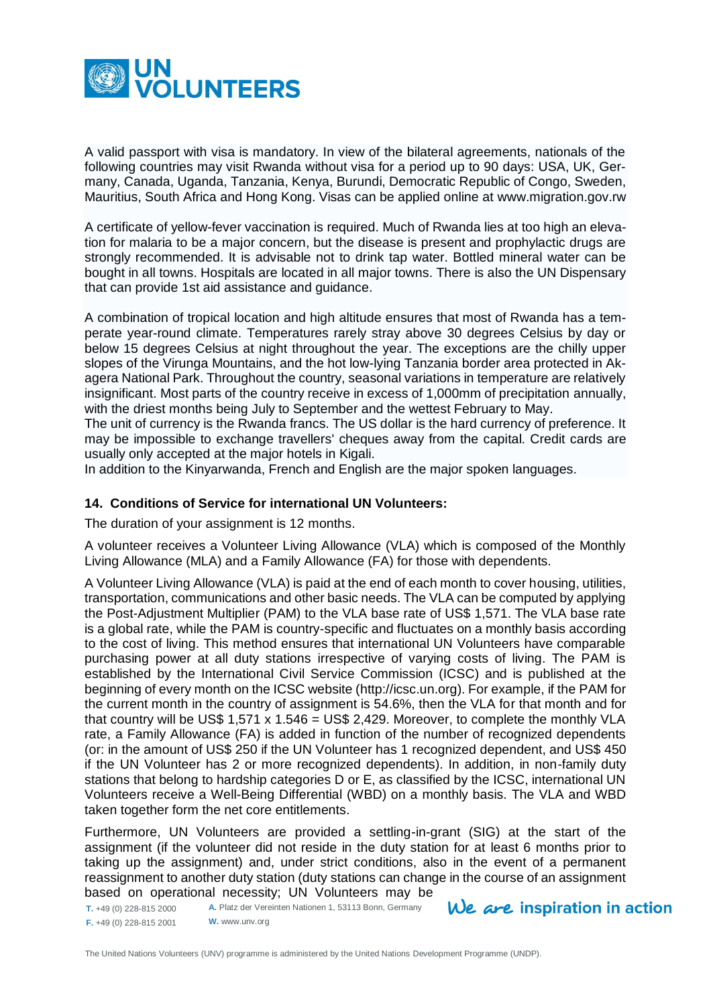

A valid passport with visa is mandatory. In view of the bilateral agreements, nationals of the following countries may visit Rwanda without visa for a period up to 90 days: USA, UK, Germany, Canada, Uganda, Tanzania, Kenya, Burundi, Democratic Republic of Congo, Sweden, Mauritius, South Africa and Hong Kong. Visas can be applied online at [www.migration.gov.rw](http://www.migration.gov.rw/)

A certificate of yellow-fever vaccination is required. Much of Rwanda lies at too high an elevation for malaria to be a major concern, but the disease is present and prophylactic drugs are strongly recommended. It is advisable not to drink tap water. Bottled mineral water can be bought in all towns. Hospitals are located in all major towns. There is also the UN Dispensary that can provide 1st aid assistance and guidance.

A combination of tropical location and high altitude ensures that most of Rwanda has a temperate year-round climate. Temperatures rarely stray above 30 degrees Celsius by day or below 15 degrees Celsius at night throughout the year. The exceptions are the chilly upper slopes of the Virunga Mountains, and the hot low-lying Tanzania border area protected in Akagera National Park. Throughout the country, seasonal variations in temperature are relatively insignificant. Most parts of the country receive in excess of 1,000mm of precipitation annually, with the driest months being July to September and the wettest February to May.

The unit of currency is the Rwanda francs. The US dollar is the hard currency of preference. It may be impossible to exchange travellers' cheques away from the capital. Credit cards are usually only accepted at the major hotels in Kigali.

In addition to the Kinyarwanda, French and English are the major spoken languages.

## **14. Conditions of Service for international UN Volunteers:**

The duration of your assignment is 12 months.

A volunteer receives a Volunteer Living Allowance (VLA) which is composed of the Monthly Living Allowance (MLA) and a Family Allowance (FA) for those with dependents.

A Volunteer Living Allowance (VLA) is paid at the end of each month to cover housing, utilities, transportation, communications and other basic needs. The VLA can be computed by applying the Post-Adjustment Multiplier (PAM) to the VLA base rate of US\$ 1,571. The VLA base rate is a global rate, while the PAM is country-specific and fluctuates on a monthly basis according to the cost of living. This method ensures that international UN Volunteers have comparable purchasing power at all duty stations irrespective of varying costs of living. The PAM is established by the International Civil Service Commission (ICSC) and is published at the beginning of every month on the ICSC website [\(http://icsc.un.org\)](http://icsc.un.org/). For example, if the PAM for the current month in the country of assignment is 54.6%, then the VLA for that month and for that country will be US\$ 1,571 x 1.546 = US\$ 2,429. Moreover, to complete the monthly VLA rate, a Family Allowance (FA) is added in function of the number of recognized dependents (or: in the amount of US\$ 250 if the UN Volunteer has 1 recognized dependent, and US\$ 450 if the UN Volunteer has 2 or more recognized dependents). In addition, in non-family duty stations that belong to hardship categories D or E, as classified by the ICSC, international UN Volunteers receive a Well-Being Differential (WBD) on a monthly basis. The VLA and WBD taken together form the net core entitlements.

Furthermore, UN Volunteers are provided a settling-in-grant (SIG) at the start of the assignment (if the volunteer did not reside in the duty station for at least 6 months prior to taking up the assignment) and, under strict conditions, also in the event of a permanent reassignment to another duty station (duty stations can change in the course of an assignment based on operational necessity; UN Volunteers may be

**T.** +49 (0) 228-815 2000 **F.** +49 (0) 228-815 2001 **A.** Platz der Vereinten Nationen 1, 53113 Bonn, Germany **W.** www.unv.org

 $We$  are inspiration in action